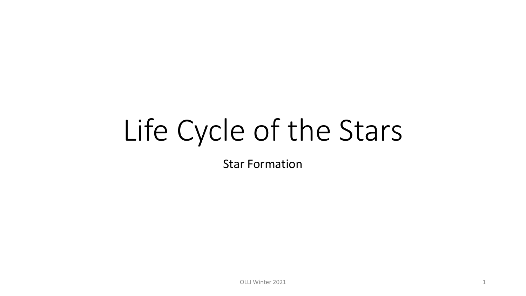# Life Cycle of the Stars

Star Formation

OLLI Winter 2021 2021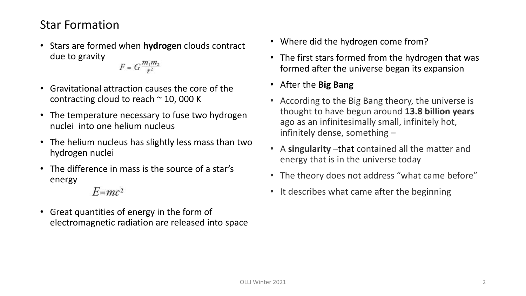#### Star Formation

• Stars are formed when **hydrogen** clouds contract due to gravity

 $F = G \frac{m_1 m_2}{r^2}$ 

- Gravitational attraction causes the core of the contracting cloud to reach  $\approx$  10, 000 K
- The temperature necessary to fuse two hydrogen nuclei into one helium nucleus
- The helium nucleus has slightly less mass than two hydrogen nuclei
- The difference in mass is the source of a star's energy
	- $E = mc^2$
- Great quantities of energy in the form of electromagnetic radiation are released into space
- Where did the hydrogen come from?
- The first stars formed from the hydrogen that was formed after the universe began its expansion
- After the **Big Bang**
- According to the Big Bang theory, the universe is thought to have begun around **13.8 billion years**  ago as an infinitesimally small, infinitely hot, infinitely dense, something –
- A **singularity** –that contained all the matter and energy that is in the universe today
- The theory does not address "what came before"
- It describes what came after the beginning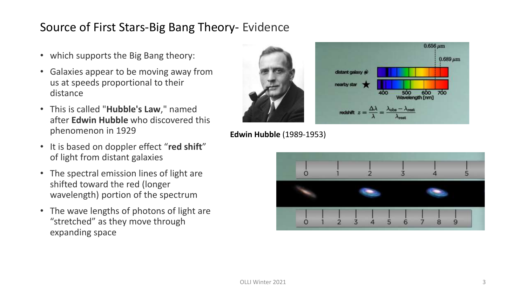- which supports the Big Bang theory:
- Galaxies appear to be moving away from us at speeds proportional to their distance
- This is called "**Hubble's Law**," named after **Edwin Hubble** who discovered this phenomenon in 1929
- It is based on doppler effect "**red shift**" of light from distant galaxies
- The spectral emission lines of light are shifted toward the red (longer wavelength) portion of the spectrum
- The wave lengths of photons of light are "stretched" as they move through expanding space



#### **Edwin Hubble** (1989-1953)

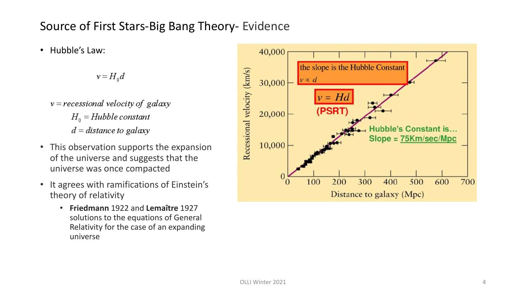• Hubble's Law:

 $v = H_{\rm o} d$ 

- $v = recessional velocity of galaxy$  $H_0 = Hubble constant$  $d = distance to galaxy$
- This observation supports the expansion of the universe and suggests that the universe was once compacted
- It agrees with ramifications of Einstein's theory of relativity
	- **Friedmann** 1922 and **Lemaître** 1927 solutions to the equations of General Relativity for the case of an expanding universe

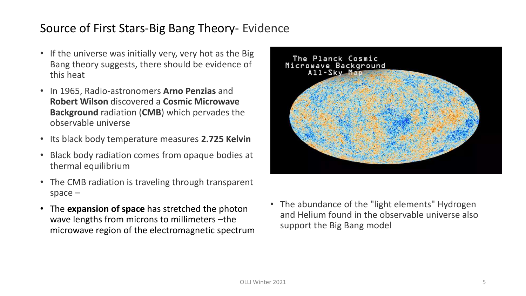- If the universe was initially very, very hot as the Big Bang theory suggests, there should be evidence of this heat
- In 1965, Radio-astronomers **Arno Penzias** and **Robert Wilson** discovered a **Cosmic Microwave Background** radiation (**CMB**) which pervades the observable universe
- Its black body temperature measures **2.725 Kelvin**
- Black body radiation comes from opaque bodies at thermal equilibrium
- The CMB radiation is traveling through transparent space –
- The **expansion of space** has stretched the photon wave lengths from microns to millimeters –the microwave region of the electromagnetic spectrum



• The abundance of the "light elements" Hydrogen and Helium found in the observable universe also support the Big Bang model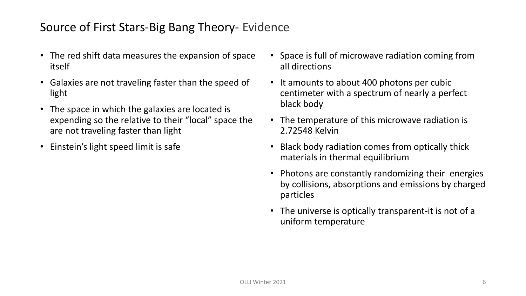- The red shift data measures the expansion of space itself
- Galaxies are not traveling faster than the speed of light
- The space in which the galaxies are located is expending so the relative to their "local" space the are not traveling faster than light
- Einstein's light speed limit is safe
- Space is full of microwave radiation coming from all directions
- It amounts to about 400 photons per cubic centimeter with a spectrum of nearly a perfect black body
- The temperature of this microwave radiation is 2.72548 Kelvin
- Black body radiation comes from optically thick materials in thermal equilibrium
- Photons are constantly randomizing their energies by collisions, absorptions and emissions by charged particles
- The universe is optically transparent-it is not of a uniform temperature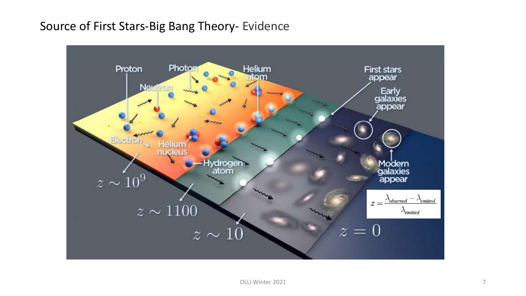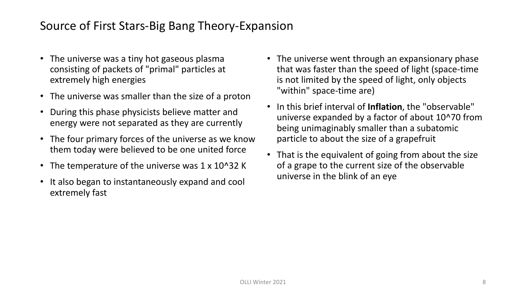#### Source of First Stars-Big Bang Theory-Expansion

- The universe was a tiny hot gaseous plasma consisting of packets of "primal" particles at extremely high energies
- The universe was smaller than the size of a proton
- During this phase physicists believe matter and energy were not separated as they are currently
- The four primary forces of the universe as we know them today were believed to be one united force
- The temperature of the universe was 1 x 10^32 K
- It also began to instantaneously expand and cool extremely fast
- The universe went through an expansionary phase that was faster than the speed of light (space-time is not limited by the speed of light, only objects "within" space-time are)
- In this brief interval of **Inflation**, the "observable" universe expanded by a factor of about 10^70 from being unimaginably smaller than a subatomic particle to about the size of a grapefruit
- That is the equivalent of going from about the size of a grape to the current size of the observable universe in the blink of an eye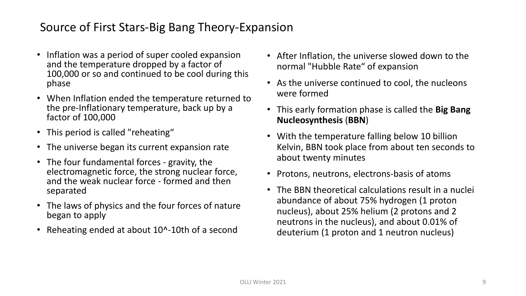## Source of First Stars-Big Bang Theory-Expansion

- Inflation was a period of super cooled expansion and the temperature dropped by a factor of 100,000 or so and continued to be cool during this phase
- When Inflation ended the temperature returned to the pre-Inflationary temperature, back up by a factor of 100,000
- This period is called "reheating"
- The universe began its current expansion rate
- The four fundamental forces gravity, the electromagnetic force, the strong nuclear force, and the weak nuclear force - formed and then separated
- The laws of physics and the four forces of nature began to apply
- Reheating ended at about 10^-10th of a second
- After Inflation, the universe slowed down to the normal "Hubble Rate" of expansion
- As the universe continued to cool, the nucleons were formed
- This early formation phase is called the **Big Bang Nucleosynthesis** (**BBN**)
- With the temperature falling below 10 billion Kelvin, BBN took place from about ten seconds to about twenty minutes
- Protons, neutrons, electrons-basis of atoms
- The BBN theoretical calculations result in a nuclei abundance of about 75% hydrogen (1 proton nucleus), about 25% helium (2 protons and 2 neutrons in the nucleus), and about 0.01% of deuterium (1 proton and 1 neutron nucleus)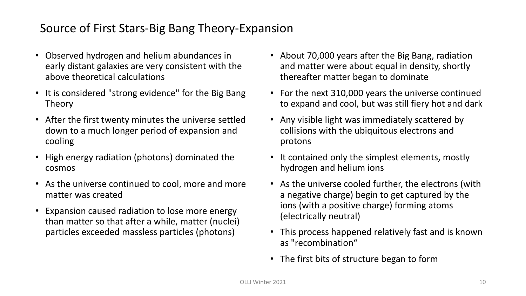## Source of First Stars-Big Bang Theory-Expansion

- Observed hydrogen and helium abundances in early distant galaxies are very consistent with the above theoretical calculations
- It is considered "strong evidence" for the Big Bang Theory
- After the first twenty minutes the universe settled down to a much longer period of expansion and cooling
- High energy radiation (photons) dominated the cosmos
- As the universe continued to cool, more and more matter was created
- Expansion caused radiation to lose more energy than matter so that after a while, matter (nuclei) particles exceeded massless particles (photons)
- About 70,000 years after the Big Bang, radiation and matter were about equal in density, shortly thereafter matter began to dominate
- For the next 310,000 years the universe continued to expand and cool, but was still fiery hot and dark
- Any visible light was immediately scattered by collisions with the ubiquitous electrons and protons
- It contained only the simplest elements, mostly hydrogen and helium ions
- As the universe cooled further, the electrons (with a negative charge) begin to get captured by the ions (with a positive charge) forming atoms (electrically neutral)
- This process happened relatively fast and is known as "recombination"
- The first bits of structure began to form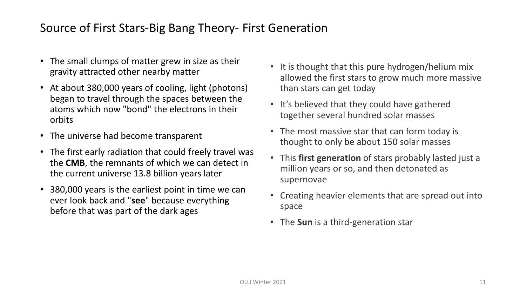## Source of First Stars-Big Bang Theory- First Generation

- The small clumps of matter grew in size as their gravity attracted other nearby matter
- At about 380,000 years of cooling, light (photons) began to travel through the spaces between the atoms which now "bond" the electrons in their orbits
- The universe had become transparent
- The first early radiation that could freely travel was the **CMB**, the remnants of which we can detect in the current universe 13.8 billion years later
- 380,000 years is the earliest point in time we can ever look back and "**see**" because everything before that was part of the dark ages
- It is thought that this pure hydrogen/helium mix allowed the first stars to grow much more massive than stars can get today
- It's believed that they could have gathered together several hundred solar masses
- The most massive star that can form today is thought to only be about 150 solar masses
- This **first generation** of stars probably lasted just a million years or so, and then detonated as supernovae
- Creating heavier elements that are spread out into space
- The **Sun** is a third-generation star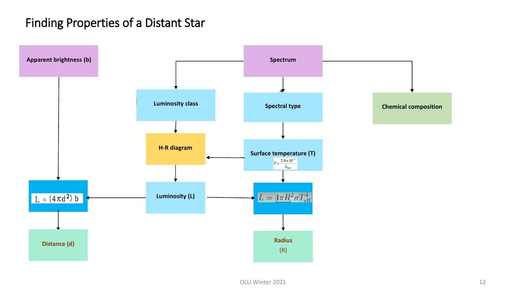#### Finding Properties of a Distant Star

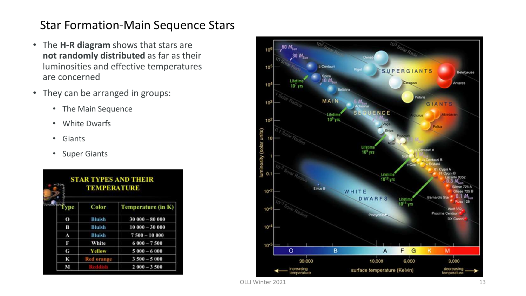- The **H-R diagram** shows that stars are **not randomly distributed** as far as their luminosities and effective temperatures are concerned
- They can be arranged in groups:
	- The Main Sequence
	- White Dwarfs
	- Giants
	- Super Giants

| <b>STAR TYPES AND THEIR</b><br><b>TEMPERATURE</b> |                   |                    |  |
|---------------------------------------------------|-------------------|--------------------|--|
| vpe                                               | Color             | Temperature (in K) |  |
| $\bf{o}$                                          | <b>Bluish</b>     | $30000 - 80000$    |  |
| В                                                 | <b>Bluish</b>     | $10000 - 30000$    |  |
| А                                                 | <b>Bluish</b>     | $7500 - 10000$     |  |
| Б                                                 | White             | $6000 - 7500$      |  |
| G                                                 | Yellow            | $5000 - 6000$      |  |
| к                                                 | <b>Red orange</b> | $3500 - 5000$      |  |
| M                                                 |                   | $2000 - 3500$      |  |

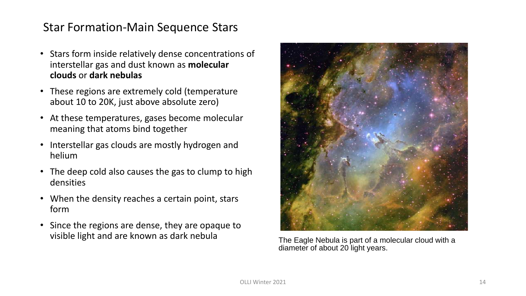- Stars form inside relatively dense concentrations of interstellar gas and dust known as **molecular clouds** or **dark nebulas**
- These regions are extremely cold (temperature about 10 to 20K, just above absolute zero)
- At these temperatures, gases become molecular meaning that atoms bind together
- Interstellar gas clouds are mostly hydrogen and helium
- The deep cold also causes the gas to clump to high densities
- When the density reaches a certain point, stars form
- Since the regions are dense, they are opaque to visible light and are known as dark nebula The Eagle Nebula is part of a molecular cloud with a



diameter of about 20 light years.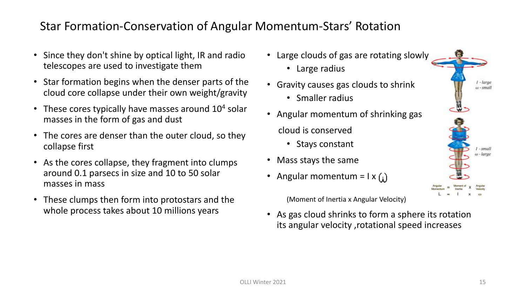#### Star Formation-Conservation of Angular Momentum-Stars' Rotation

- Since they don't shine by optical light, IR and radio telescopes are used to investigate them
- Star formation begins when the denser parts of the cloud core collapse under their own weight/gravity
- These cores typically have masses around  $10<sup>4</sup>$  solar masses in the form of gas and dust
- The cores are denser than the outer cloud, so they collapse first
- As the cores collapse, they fragment into clumps around 0.1 parsecs in size and 10 to 50 solar masses in mass
- These clumps then form into protostars and the whole process takes about 10 millions years
- Large clouds of gas are rotating slowly
	- Large radius
- Gravity causes gas clouds to shrink
	- Smaller radius
- Angular momentum of shrinking gas

cloud is conserved

- Stays constant
- Mass stays the same
- Angular momentum =  $1 \times (1)$

(Moment of Inertia x Angular Velocity)

• As gas cloud shrinks to form a sphere its rotation its angular velocity ,rotational speed increases

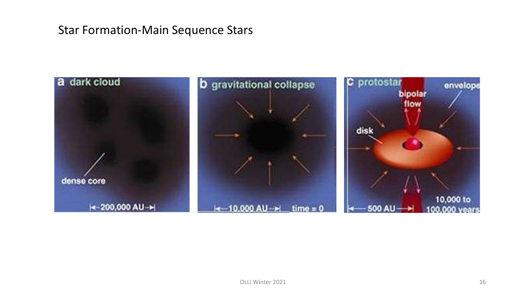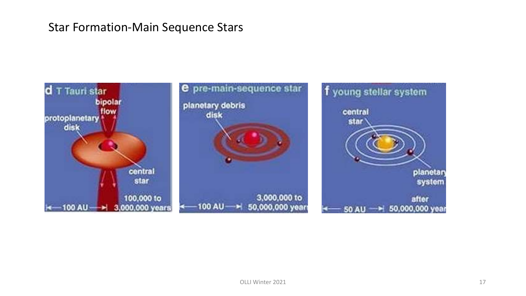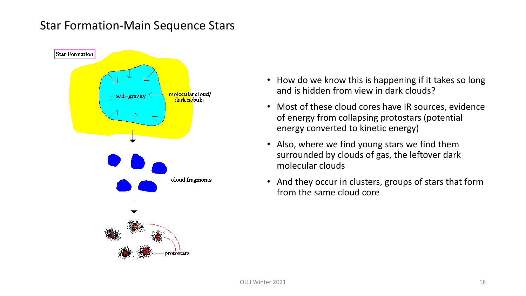

- How do we know this is happening if it takes so long and is hidden from view in dark clouds?
- Most of these cloud cores have IR sources, evidence of energy from collapsing protostars (potential energy converted to kinetic energy)
- Also, where we find young stars we find them surrounded by clouds of gas, the leftover dark molecular clouds
- And they occur in clusters, groups of stars that form from the same cloud core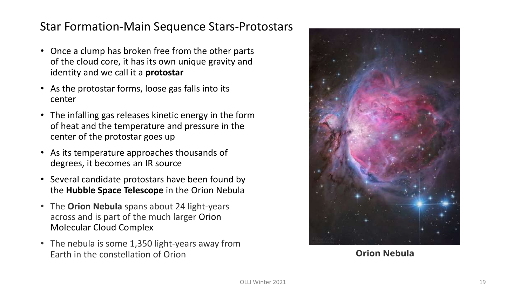#### Star Formation-Main Sequence Stars-Protostars

- Once a clump has broken free from the other parts of the cloud core, it has its own unique gravity and identity and we call it a **protostar**
- As the protostar forms, loose gas falls into its center
- The infalling gas releases kinetic energy in the form of heat and the temperature and pressure in the center of the protostar goes up
- As its temperature approaches thousands of degrees, it becomes an IR source
- Several candidate protostars have been found by the **Hubble Space Telescope** in the Orion Nebula
- The **Orion Nebula** spans about 24 light-years across and is part of the much larger Orion Molecular Cloud Complex
- The nebula is some 1,350 light-years away from Earth in the constellation of Orion



**Orion Nebula**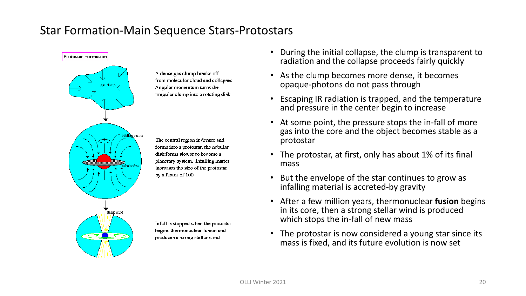#### Star Formation-Main Sequence Stars-Protostars



A dense gas clump breaks off from molecular cloud and collapses Angular momentum turns the irregular clump into a rotating disk

The central region is denser and forms into a protostar, the nebular disk forms slower to become a planetary system. Infalling matter increases the size of the protostar by a factor of 100

Infall is stopped when the protostar begins thermonuclear fusion and produces a strong stellar wind

- During the initial collapse, the clump is transparent to radiation and the collapse proceeds fairly quickly
- As the clump becomes more dense, it becomes opaque-photons do not pass through
- Escaping IR radiation is trapped, and the temperature and pressure in the center begin to increase
- At some point, the pressure stops the in-fall of more gas into the core and the object becomes stable as a protostar
- The protostar, at first, only has about 1% of its final mass
- But the envelope of the star continues to grow as infalling material is accreted-by gravity
- After a few million years, thermonuclear **fusion** begins in its core, then a strong stellar wind is produced which stops the in-fall of new mass
- The protostar is now considered a young star since its mass is fixed, and its future evolution is now set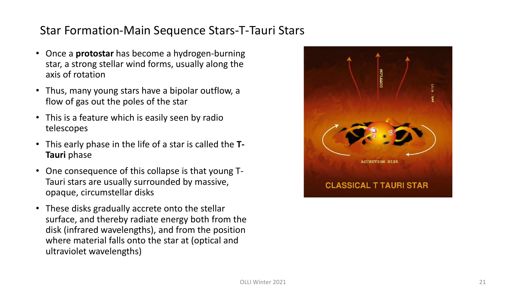# Star Formation-Main Sequence Stars-T-Tauri Stars

- Once a **protostar** has become a hydrogen -burning star, a strong stellar wind forms, usually along the axis of rotation
- Thus, many young stars have a bipolar outflow, a flow of gas out the poles of the star
- This is a feature which is easily seen by radio telescopes
- This early phase in the life of a star is called the **T - Tauri** phase
- One consequence of this collapse is that young T Tauri stars are usually surrounded by massive, opaque, circumstellar disks
- These disks gradually accrete onto the stellar surface, and thereby radiate energy both from the disk (infrared wavelengths), and from the position where material falls onto the star at (optical and ultraviolet wavelengths)

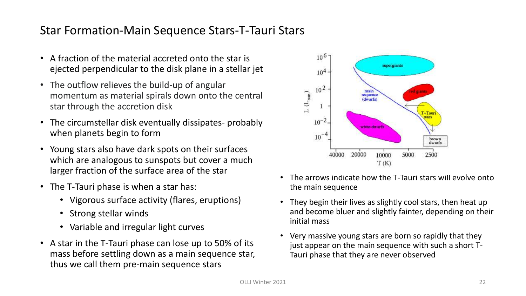#### Star Formation-Main Sequence Stars-T-Tauri Stars

- A fraction of the material accreted onto the star is ejected perpendicular to the disk plane in a stellar jet
- The outflow relieves the build-up of angular momentum as material spirals down onto the central star through the accretion disk
- The circumstellar disk eventually dissipates- probably when planets begin to form
- Young stars also have dark spots on their surfaces which are analogous to sunspots but cover a much larger fraction of the surface area of the star
- The T-Tauri phase is when a star has:
	- Vigorous surface activity (flares, eruptions)
	- Strong stellar winds
	- Variable and irregular light curves
- A star in the T-Tauri phase can lose up to 50% of its mass before settling down as a main sequence star, thus we call them pre-main sequence stars



- The arrows indicate how the T-Tauri stars will evolve onto the main sequence
- They begin their lives as slightly cool stars, then heat up and become bluer and slightly fainter, depending on their initial mass
- Very massive young stars are born so rapidly that they just appear on the main sequence with such a short T-Tauri phase that they are never observed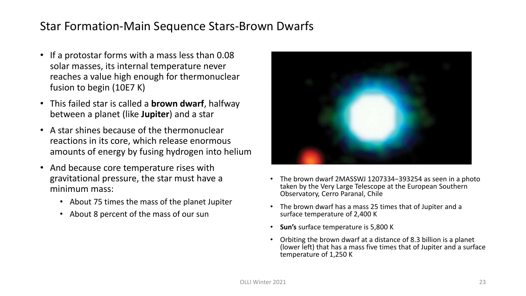#### Star Formation-Main Sequence Stars-Brown Dwarfs

- If a protostar forms with a mass less than 0.08 solar masses, its internal temperature never reaches a value high enough for thermonuclear fusion to begin (10E7 K)
- This failed star is called a **brown dwarf**, halfway between a planet (like **Jupiter**) and a star
- A star shines because of the thermonuclear reactions in its core, which release enormous amounts of energy by fusing hydrogen into helium
- And because core temperature rises with gravitational pressure, the star must have a minimum mass:
	- About 75 times the mass of the planet Jupiter
	- About 8 percent of the mass of our sun



- The brown dwarf 2MASSWJ 1207334−393254 as seen in a photo taken by the Very Large Telescope at the European Southern Observatory, Cerro Paranal, Chile
- The brown dwarf has a mass 25 times that of Jupiter and a surface temperature of 2,400 K
- **Sun's** surface temperature is 5,800 K
- Orbiting the brown dwarf at a distance of 8.3 billion is a planet (lower left) that has a mass five times that of Jupiter and a surface temperature of 1,250 K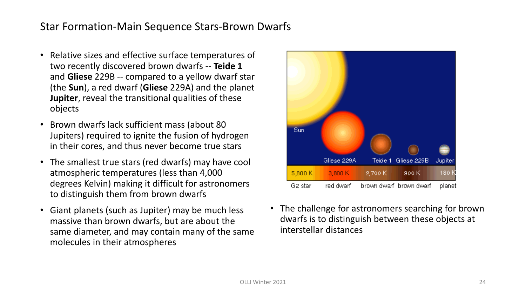#### Star Formation-Main Sequence Stars-Brown Dwarfs

- Relative sizes and effective surface temperatures of two recently discovered brown dwarfs -- **Teide 1** and **Gliese** 229B -- compared to a yellow dwarf star (the **Sun**), a red dwarf (**Gliese** 229A) and the planet **Jupiter**, reveal the transitional qualities of these objects
- Brown dwarfs lack sufficient mass (about 80 Jupiters) required to ignite the fusion of hydrogen in their cores, and thus never become true stars
- The smallest true stars (red dwarfs) may have cool atmospheric temperatures (less than 4,000 degrees Kelvin) making it difficult for astronomers to distinguish them from brown dwarfs
- Giant planets (such as Jupiter) may be much less massive than brown dwarfs, but are about the same diameter, and may contain many of the same molecules in their atmospheres



• The challenge for astronomers searching for brown dwarfs is to distinguish between these objects at interstellar distances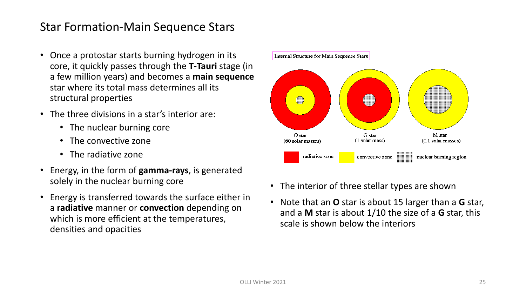- Once a protostar starts burning hydrogen in its core, it quickly passes through the **T-Tauri** stage (in a few million years) and becomes a **main sequence**  star where its total mass determines all its structural properties
- The three divisions in a star's interior are:
	- The nuclear burning core
	- The convective zone
	- The radiative zone
- Energy, in the form of **gamma-rays**, is generated solely in the nuclear burning core
- Energy is transferred towards the surface either in a **radiative** manner or **convection** depending on which is more efficient at the temperatures, densities and opacities



- The interior of three stellar types are shown
- Note that an **O** star is about 15 larger than a **G** star, and a **M** star is about 1/10 the size of a **G** star, this scale is shown below the interiors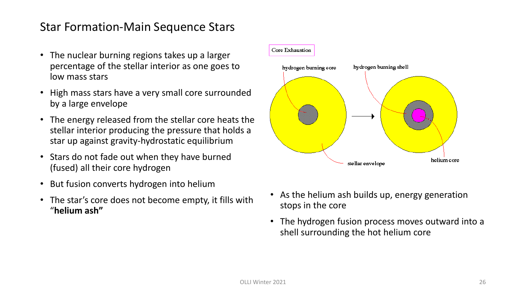- The nuclear burning regions takes up a larger percentage of the stellar interior as one goes to low mass stars
- High mass stars have a very small core surrounded by a large envelope
- The energy released from the stellar core heats the stellar interior producing the pressure that holds a star up against gravity-hydrostatic equilibrium
- Stars do not fade out when they have burned (fused) all their core hydrogen
- But fusion converts hydrogen into helium
- The star's core does not become empty, it fills with "**helium ash"**



- As the helium ash builds up, energy generation stops in the core
- The hydrogen fusion process moves outward into a shell surrounding the hot helium core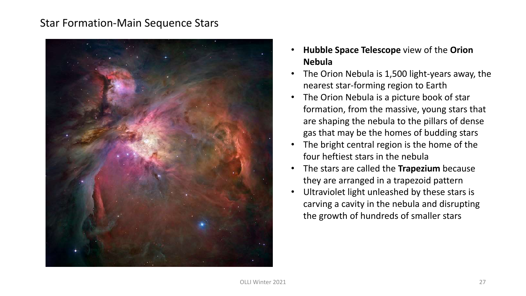

- **Hubble Space Telescope** view of the **Orion Nebula**
- The Orion Nebula is 1,500 light-years away, the nearest star-forming region to Earth
- The Orion Nebula is a picture book of star formation, from the massive, young stars that are shaping the nebula to the pillars of dense gas that may be the homes of budding stars
- The bright central region is the home of the four heftiest stars in the nebula
- The stars are called the **Trapezium** because they are arranged in a trapezoid pattern
- Ultraviolet light unleashed by these stars is carving a cavity in the nebula and disrupting the growth of hundreds of smaller stars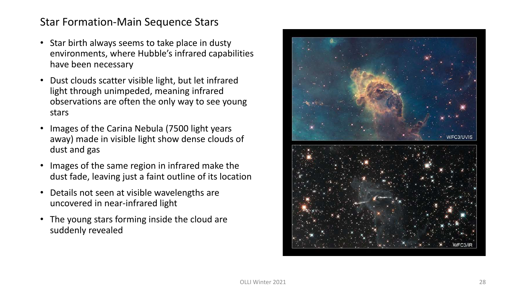- Star birth always seems to take place in dusty environments, where Hubble's infrared capabilities have been necessary
- Dust clouds scatter visible light, but let infrared light through unimpeded, meaning infrared observations are often the only way to see young stars
- Images of the Carina Nebula (7500 light years away) made in visible light show dense clouds of dust and gas
- Images of the same region in infrared make the dust fade, leaving just a faint outline of its location
- Details not seen at visible wavelengths are uncovered in near-infrared light
- The young stars forming inside the cloud are suddenly revealed